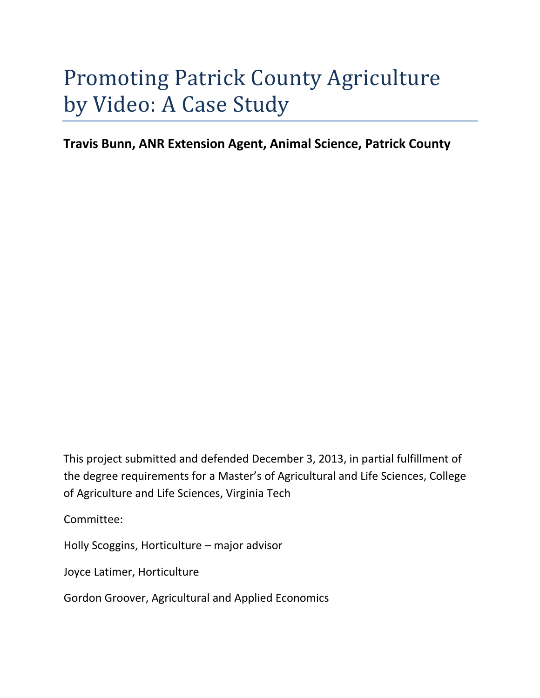# Promoting Patrick County Agriculture by Video: A Case Study

**Travis Bunn, ANR Extension Agent, Animal Science, Patrick County**

This project submitted and defended December 3, 2013, in partial fulfillment of the degree requirements for a Master's of Agricultural and Life Sciences, College of Agriculture and Life Sciences, Virginia Tech

Committee:

Holly Scoggins, Horticulture – major advisor

Joyce Latimer, Horticulture

Gordon Groover, Agricultural and Applied Economics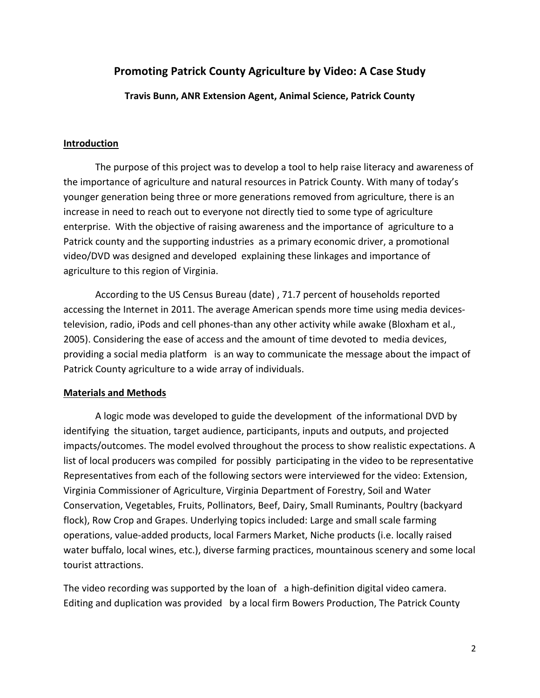# **Promoting Patrick County Agriculture by Video: A Case Study**

## **Travis Bunn, ANR Extension Agent, Animal Science, Patrick County**

### **Introduction**

The purpose of this project was to develop a tool to help raise literacy and awareness of the importance of agriculture and natural resources in Patrick County. With many of today's younger generation being three or more generations removed from agriculture, there is an increase in need to reach out to everyone not directly tied to some type of agriculture enterprise. With the objective of raising awareness and the importance of agriculture to a Patrick county and the supporting industries as a primary economic driver, a promotional video/DVD was designed and developed explaining these linkages and importance of agriculture to this region of Virginia.

According to the US Census Bureau (date) , 71.7 percent of households reported accessing the Internet in 2011. The average American spends more time using media devices‐ television, radio, iPods and cell phones-than any other activity while awake (Bloxham et al., 2005). Considering the ease of access and the amount of time devoted to media devices, providing a social media platform is an way to communicate the message about the impact of Patrick County agriculture to a wide array of individuals.

# **Materials and Methods**

A logic mode was developed to guide the development of the informational DVD by identifying the situation, target audience, participants, inputs and outputs, and projected impacts/outcomes. The model evolved throughout the process to show realistic expectations. A list of local producers was compiled for possibly participating in the video to be representative Representatives from each of the following sectors were interviewed for the video: Extension, Virginia Commissioner of Agriculture, Virginia Department of Forestry, Soil and Water Conservation, Vegetables, Fruits, Pollinators, Beef, Dairy, Small Ruminants, Poultry (backyard flock), Row Crop and Grapes. Underlying topics included: Large and small scale farming operations, value‐added products, local Farmers Market, Niche products (i.e. locally raised water buffalo, local wines, etc.), diverse farming practices, mountainous scenery and some local tourist attractions.

The video recording was supported by the loan of a high-definition digital video camera. Editing and duplication was provided by a local firm Bowers Production, The Patrick County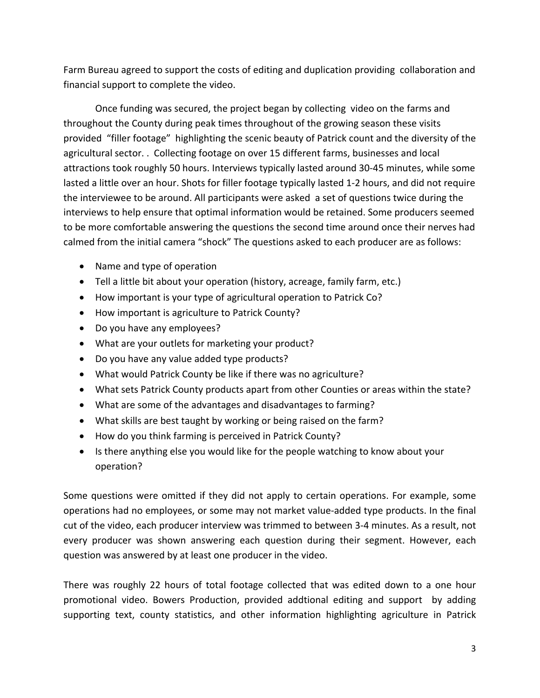Farm Bureau agreed to support the costs of editing and duplication providing collaboration and financial support to complete the video.

Once funding was secured, the project began by collecting video on the farms and throughout the County during peak times throughout of the growing season these visits provided "filler footage" highlighting the scenic beauty of Patrick count and the diversity of the agricultural sector. . Collecting footage on over 15 different farms, businesses and local attractions took roughly 50 hours. Interviews typically lasted around 30‐45 minutes, while some lasted a little over an hour. Shots for filler footage typically lasted 1‐2 hours, and did not require the interviewee to be around. All participants were asked a set of questions twice during the interviews to help ensure that optimal information would be retained. Some producers seemed to be more comfortable answering the questions the second time around once their nerves had calmed from the initial camera "shock" The questions asked to each producer are as follows:

- Name and type of operation
- Tell a little bit about your operation (history, acreage, family farm, etc.)
- How important is your type of agricultural operation to Patrick Co?
- How important is agriculture to Patrick County?
- Do you have any employees?
- What are your outlets for marketing your product?
- Do you have any value added type products?
- What would Patrick County be like if there was no agriculture?
- What sets Patrick County products apart from other Counties or areas within the state?
- What are some of the advantages and disadvantages to farming?
- What skills are best taught by working or being raised on the farm?
- How do you think farming is perceived in Patrick County?
- Is there anything else you would like for the people watching to know about your operation?

Some questions were omitted if they did not apply to certain operations. For example, some operations had no employees, or some may not market value‐added type products. In the final cut of the video, each producer interview was trimmed to between 3‐4 minutes. As a result, not every producer was shown answering each question during their segment. However, each question was answered by at least one producer in the video.

There was roughly 22 hours of total footage collected that was edited down to a one hour promotional video. Bowers Production, provided addtional editing and support by adding supporting text, county statistics, and other information highlighting agriculture in Patrick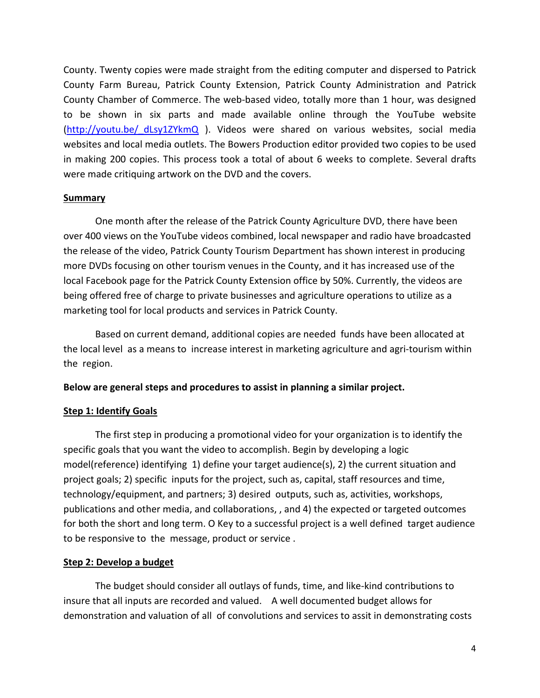County. Twenty copies were made straight from the editing computer and dispersed to Patrick County Farm Bureau, Patrick County Extension, Patrick County Administration and Patrick County Chamber of Commerce. The web‐based video, totally more than 1 hour, was designed to be shown in six parts and made available online through the YouTube website (http://youtu.be/\_dLsy1ZYkmQ ). Videos were shared on various websites, social media websites and local media outlets. The Bowers Production editor provided two copies to be used in making 200 copies. This process took a total of about 6 weeks to complete. Several drafts were made critiquing artwork on the DVD and the covers.

#### **Summary**

One month after the release of the Patrick County Agriculture DVD, there have been over 400 views on the YouTube videos combined, local newspaper and radio have broadcasted the release of the video, Patrick County Tourism Department has shown interest in producing more DVDs focusing on other tourism venues in the County, and it has increased use of the local Facebook page for the Patrick County Extension office by 50%. Currently, the videos are being offered free of charge to private businesses and agriculture operations to utilize as a marketing tool for local products and services in Patrick County.

Based on current demand, additional copies are needed funds have been allocated at the local level as a means to increase interest in marketing agriculture and agri-tourism within the region.

#### **Below are general steps and procedures to assist in planning a similar project.**

#### **Step 1: Identify Goals**

The first step in producing a promotional video for your organization is to identify the specific goals that you want the video to accomplish. Begin by developing a logic model(reference) identifying 1) define your target audience(s), 2) the current situation and project goals; 2) specific inputs for the project, such as, capital, staff resources and time, technology/equipment, and partners; 3) desired outputs, such as, activities, workshops, publications and other media, and collaborations, , and 4) the expected or targeted outcomes for both the short and long term. O Key to a successful project is a well defined target audience to be responsive to the message, product or service .

#### **Step 2: Develop a budget**

The budget should consider all outlays of funds, time, and like‐kind contributions to insure that all inputs are recorded and valued. A well documented budget allows for demonstration and valuation of all of convolutions and services to assit in demonstrating costs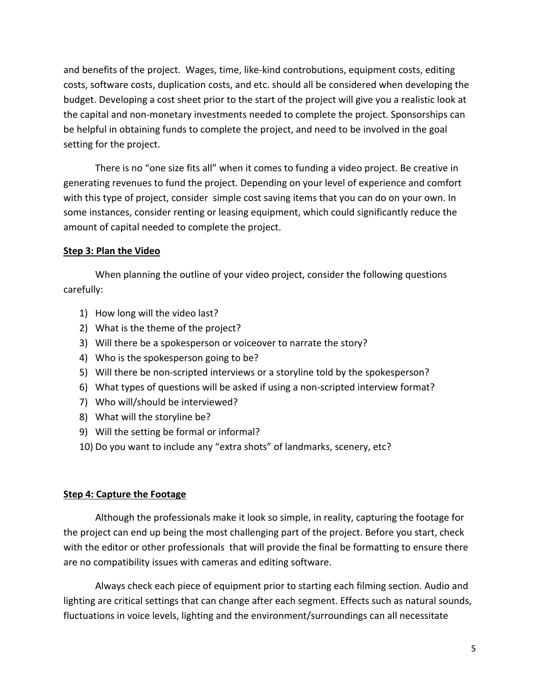and benefits of the project. Wages, time, like‐kind controbutions, equipment costs, editing costs, software costs, duplication costs, and etc. should all be considered when developing the budget. Developing a cost sheet prior to the start of the project will give you a realistic look at the capital and non‐monetary investments needed to complete the project. Sponsorships can be helpful in obtaining funds to complete the project, and need to be involved in the goal setting for the project.

There is no "one size fits all" when it comes to funding a video project. Be creative in generating revenues to fund the project. Depending on your level of experience and comfort with this type of project, consider simple cost saving items that you can do on your own. In some instances, consider renting or leasing equipment, which could significantly reduce the amount of capital needed to complete the project.

# **Step 3: Plan the Video**

When planning the outline of your video project, consider the following questions carefully:

- 1) How long will the video last?
- 2) What is the theme of the project?
- 3) Will there be a spokesperson or voiceover to narrate the story?
- 4) Who is the spokesperson going to be?
- 5) Will there be non-scripted interviews or a storyline told by the spokesperson?
- 6) What types of questions will be asked if using a non‐scripted interview format?
- 7) Who will/should be interviewed?
- 8) What will the storyline be?
- 9) Will the setting be formal or informal?
- 10) Do you want to include any "extra shots" of landmarks, scenery, etc?

# **Step 4: Capture the Footage**

Although the professionals make it look so simple, in reality, capturing the footage for the project can end up being the most challenging part of the project. Before you start, check with the editor or other professionals that will provide the final be formatting to ensure there are no compatibility issues with cameras and editing software.

Always check each piece of equipment prior to starting each filming section. Audio and lighting are critical settings that can change after each segment. Effects such as natural sounds, fluctuations in voice levels, lighting and the environment/surroundings can all necessitate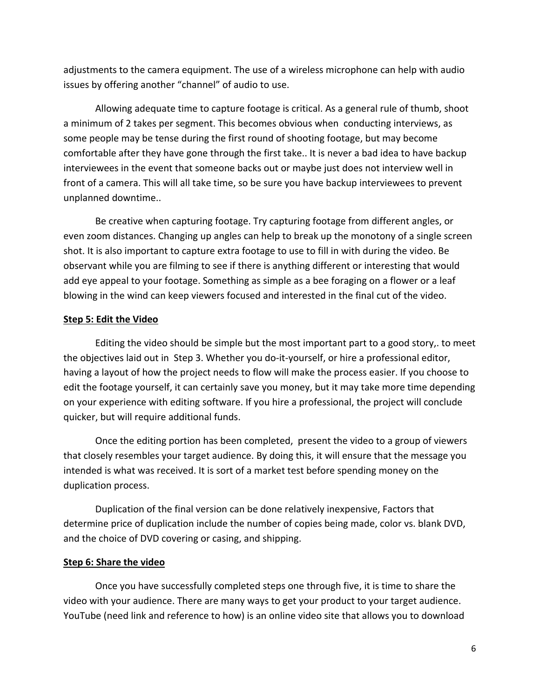adjustments to the camera equipment. The use of a wireless microphone can help with audio issues by offering another "channel" of audio to use.

Allowing adequate time to capture footage is critical. As a general rule of thumb, shoot a minimum of 2 takes per segment. This becomes obvious when conducting interviews, as some people may be tense during the first round of shooting footage, but may become comfortable after they have gone through the first take.. It is never a bad idea to have backup interviewees in the event that someone backs out or maybe just does not interview well in front of a camera. This will all take time, so be sure you have backup interviewees to prevent unplanned downtime..

Be creative when capturing footage. Try capturing footage from different angles, or even zoom distances. Changing up angles can help to break up the monotony of a single screen shot. It is also important to capture extra footage to use to fill in with during the video. Be observant while you are filming to see if there is anything different or interesting that would add eye appeal to your footage. Something as simple as a bee foraging on a flower or a leaf blowing in the wind can keep viewers focused and interested in the final cut of the video.

#### **Step 5: Edit the Video**

Editing the video should be simple but the most important part to a good story,. to meet the objectives laid out in Step 3. Whether you do‐it‐yourself, or hire a professional editor, having a layout of how the project needs to flow will make the process easier. If you choose to edit the footage yourself, it can certainly save you money, but it may take more time depending on your experience with editing software. If you hire a professional, the project will conclude quicker, but will require additional funds.

Once the editing portion has been completed, present the video to a group of viewers that closely resembles your target audience. By doing this, it will ensure that the message you intended is what was received. It is sort of a market test before spending money on the duplication process.

Duplication of the final version can be done relatively inexpensive, Factors that determine price of duplication include the number of copies being made, color vs. blank DVD, and the choice of DVD covering or casing, and shipping.

#### **Step 6: Share the video**

Once you have successfully completed steps one through five, it is time to share the video with your audience. There are many ways to get your product to your target audience. YouTube (need link and reference to how) is an online video site that allows you to download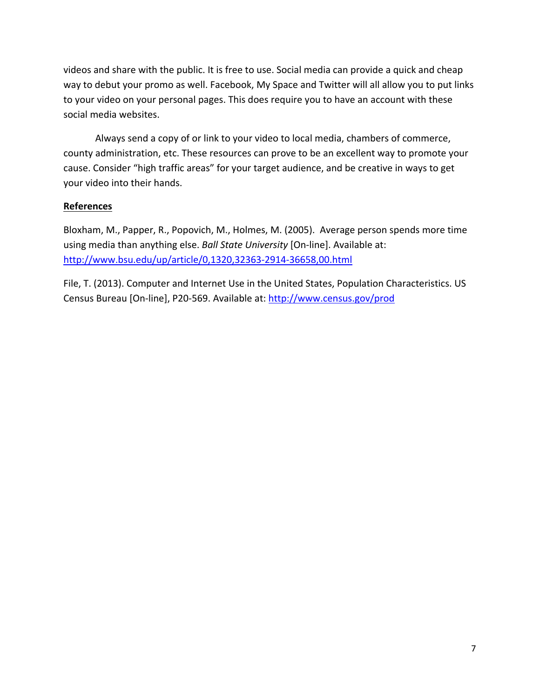videos and share with the public. It is free to use. Social media can provide a quick and cheap way to debut your promo as well. Facebook, My Space and Twitter will all allow you to put links to your video on your personal pages. This does require you to have an account with these social media websites.

Always send a copy of or link to your video to local media, chambers of commerce, county administration, etc. These resources can prove to be an excellent way to promote your cause. Consider "high traffic areas" for your target audience, and be creative in ways to get your video into their hands.

# **References**

Bloxham, M., Papper, R., Popovich, M., Holmes, M. (2005). Average person spends more time using media than anything else. *Ball State University* [On‐line]. Available at: http://www.bsu.edu/up/article/0,1320,32363‐2914‐36658,00.html

File, T. (2013). Computer and Internet Use in the United States, Population Characteristics. US Census Bureau [On‐line], P20‐569. Available at: http://www.census.gov/prod